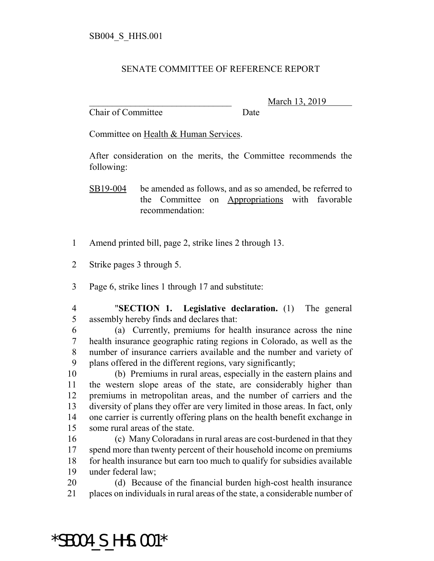## SENATE COMMITTEE OF REFERENCE REPORT

Chair of Committee Date

March 13, 2019

Committee on Health & Human Services.

After consideration on the merits, the Committee recommends the following:

SB19-004 be amended as follows, and as so amended, be referred to the Committee on Appropriations with favorable recommendation:

- Amend printed bill, page 2, strike lines 2 through 13.
- Strike pages 3 through 5.

Page 6, strike lines 1 through 17 and substitute:

 "**SECTION 1. Legislative declaration.** (1) The general assembly hereby finds and declares that:

 (a) Currently, premiums for health insurance across the nine health insurance geographic rating regions in Colorado, as well as the number of insurance carriers available and the number and variety of plans offered in the different regions, vary significantly;

 (b) Premiums in rural areas, especially in the eastern plains and the western slope areas of the state, are considerably higher than premiums in metropolitan areas, and the number of carriers and the diversity of plans they offer are very limited in those areas. In fact, only one carrier is currently offering plans on the health benefit exchange in some rural areas of the state.

 (c) Many Coloradans in rural areas are cost-burdened in that they spend more than twenty percent of their household income on premiums for health insurance but earn too much to qualify for subsidies available under federal law;

 (d) Because of the financial burden high-cost health insurance places on individuals in rural areas of the state, a considerable number of

\*SB004\_S\_HHS.001\*